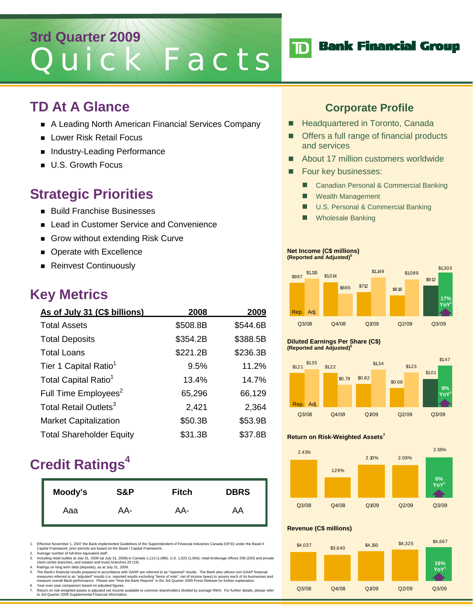# **3rd Quarter 2009** Quick Facts

### **TD At A Glance**

- A Leading North American Financial Services Company
- **Lower Risk Retail Focus**
- Industry-Leading Performance
- **U.S. Growth Focus**

# **Strategic Priorities**

- **Build Franchise Businesses**
- Lead in Customer Service and Convenience
- Grow without extending Risk Curve
- **Derate with Excellence**
- Reinvest Continuously

### **Key Metrics**

| As of July 31 (C\$ billions)      | 2008     | 2009     |
|-----------------------------------|----------|----------|
| <b>Total Assets</b>               | \$508.8B | \$544.6B |
| <b>Total Deposits</b>             | \$354.2B | \$388.5B |
| <b>Total Loans</b>                | \$221.2B | \$236.3B |
| Tier 1 Capital Ratio <sup>1</sup> | 9.5%     | 11.2%    |
| Total Capital Ratio <sup>1</sup>  | 13.4%    | 14.7%    |
| Full Time Employees <sup>2</sup>  | 65,296   | 66,129   |
| Total Retail Outlets <sup>3</sup> | 2,421    | 2,364    |
| <b>Market Capitalization</b>      | \$50.3B  | \$53.9B  |
| <b>Total Shareholder Equity</b>   | \$31.3B  | \$37.8B  |

# **Credit Ratings<sup>4</sup>**

| Moody's | S&P | <b>Fitch</b> | <b>DBRS</b> |
|---------|-----|--------------|-------------|
| Aaa     | AA- | AA-          | AA          |

1. Effective November 1, 2007 the Bank implemented Guidelines of the Superintendent of Financial Industries Canada (OFSI) under the Basel II<br>Capital Framework; prior periods are based on the Basel I Capital Framework.<br>2. A

- 
- 3. Including retail outlets at July 31, 2009 (at July 31, 2008) in Canada 1,113 (1,088), U.S. 1,023 (1,064), retail brokerage offices 208 (250) and private client centre branches, and estates and trusts branches 20 (19). 4. Ratings on long term debt (deposits), as at July 31, 2009.
- 

5. The Bank's financial results prepared in accordance with GAAP are referred to as "reported" results. The Bank also utilizes non-GAAP financial<br>measures referred to as "adjusted" results (i.e. reported results excluding Year-over-year comparison based on adjusted figures.

7. Return on risk-weighted assets is adjusted net income available to common shareholders divided by average RWA. For further details, please refer to 3rd Quarter 2009 Supplemental Financial Information.

### **Corporate Profile**

- **Headquartered in Toronto, Canada**
- Offers a full range of financial products and services
- About 17 million customers worldwide
- **Four key businesses:** 
	- Canadian Personal & Commercial Banking
	- **Nealth Management**
	- U.S. Personal & Commercial Banking
	- Wholesale Banking

#### **Net Income (C\$ millions) (Reported and Adjusted)5**



#### **Diluted Earnings Per Share (C\$) (Reported and Adjusted)5**



#### **Return on Risk-Weighted Assets7**



### **Revenue (C\$ millions)**



# **TD** Bank Financial Group